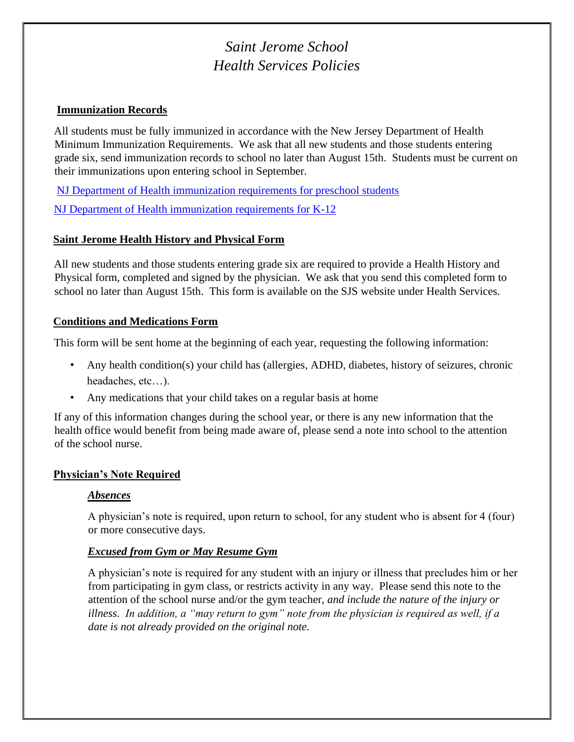# *Saint Jerome School Health Services Policies*

#### **Immunization Records**

All students must be fully immunized in accordance with the New Jersey Department of Health Minimum Immunization Requirements. We ask that all new students and those students entering grade six, send immunization records to school no later than August 15th. Students must be current on their immunizations upon entering school in September.

[NJ Department of Health immunization requirements for preschool students](https://nj.gov/health/cd/documents/imm_requirements/cc_preschool_requirements_parents.pdf)

[NJ Department of Health immunization requirements for K-12](https://www.state.nj.us/health/cd/documents/imm_requirements/lh/k12-lhd.pdf)

## **Saint Jerome Health History and Physical Form**

All new students and those students entering grade six are required to provide a Health History and Physical form, completed and signed by the physician. We ask that you send this completed form to school no later than August 15th. This form is available on the SJS website under Health Services.

#### **Conditions and Medications Form**

This form will be sent home at the beginning of each year, requesting the following information:

- Any health condition(s) your child has (allergies, ADHD, diabetes, history of seizures, chronic headaches, etc…).
- Any medications that your child takes on a regular basis at home

If any of this information changes during the school year, or there is any new information that the health office would benefit from being made aware of, please send a note into school to the attention of the school nurse.

## **Physician's Note Required**

#### *Absences*

A physician's note is required, upon return to school, for any student who is absent for 4 (four) or more consecutive days.

#### *Excused from Gym or May Resume Gym*

A physician's note is required for any student with an injury or illness that precludes him or her from participating in gym class, or restricts activity in any way. Please send this note to the attention of the school nurse and/or the gym teacher, *and include the nature of the injury or illness*. *In addition, a "may return to gym" note from the physician is required as well, if a date is not already provided on the original note.*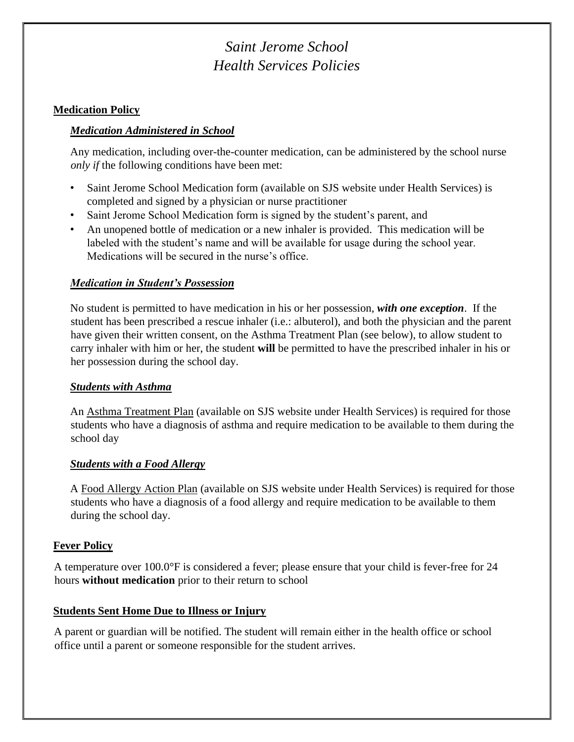# *Saint Jerome School Health Services Policies*

#### **Medication Policy**

## *Medication Administered in School*

Any medication, including over-the-counter medication, can be administered by the school nurse *only if* the following conditions have been met:

- Saint Jerome School Medication form (available on SJS website under Health Services) is completed and signed by a physician or nurse practitioner
- Saint Jerome School Medication form is signed by the student's parent, and
- An unopened bottle of medication or a new inhaler is provided. This medication will be labeled with the student's name and will be available for usage during the school year. Medications will be secured in the nurse's office.

## *Medication in Student's Possession*

No student is permitted to have medication in his or her possession, *with one exception*. If the student has been prescribed a rescue inhaler (i.e.: albuterol), and both the physician and the parent have given their written consent, on the Asthma Treatment Plan (see below), to allow student to carry inhaler with him or her, the student **will** be permitted to have the prescribed inhaler in his or her possession during the school day.

#### *Students with Asthma*

An Asthma Treatment Plan (available on SJS website under Health Services) is required for those students who have a diagnosis of asthma and require medication to be available to them during the school day

#### *Students with a Food Allergy*

A Food Allergy Action Plan (available on SJS website under Health Services) is required for those students who have a diagnosis of a food allergy and require medication to be available to them during the school day.

## **Fever Policy**

A temperature over 100.0°F is considered a fever; please ensure that your child is fever-free for 24 hours **without medication** prior to their return to school

## **Students Sent Home Due to Illness or Injury**

A parent or guardian will be notified. The student will remain either in the health office or school office until a parent or someone responsible for the student arrives.